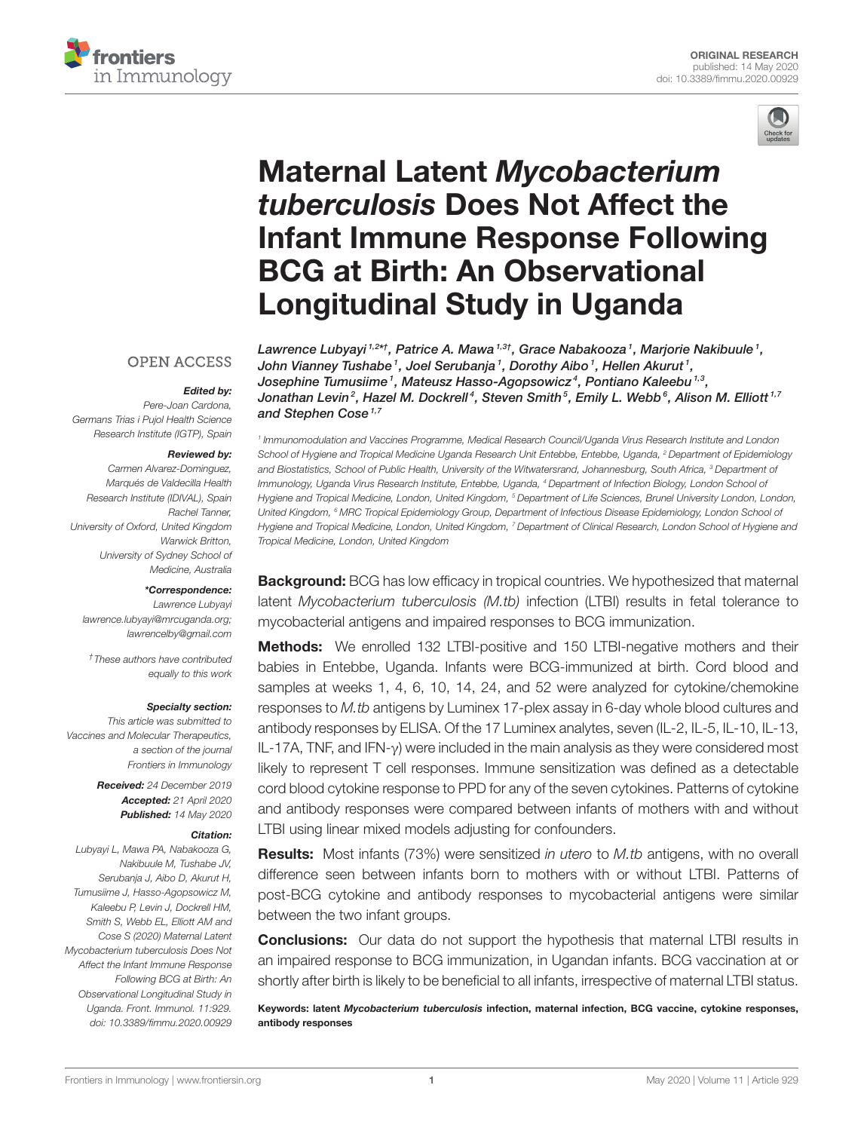



# Maternal Latent Mycobacterium tuberculosis Does Not Affect the [Infant Immune Response Following](https://www.frontiersin.org/articles/10.3389/fimmu.2020.00929/full) BCG at Birth: An Observational Longitudinal Study in Uganda

#### [Lawrence Lubyayi](http://loop.frontiersin.org/people/873977/overview) 1.2\*†, [Patrice A. Mawa](http://loop.frontiersin.org/people/928243/overview) 1.3†, Grace Nabakooza 1, [Marjorie Nakibuule](http://loop.frontiersin.org/people/881262/overview) 1, John Vianney Tushabe1, Joel Serubanja1, Dorothy Aibo1, Hellen Akurut1, Josephine Tumusiime <sup>1</sup>, Mateusz Hasso-Agopsowicz<sup>4</sup>, Pontiano Kaleebu <sup>1,3</sup>, Jonathan Levin $^2$ , [Hazel M. Dockrell](http://loop.frontiersin.org/people/404313/overview) $^4$ , [Steven Smith](http://loop.frontiersin.org/people/420342/overview) $^5$ , [Emily L. Webb](http://loop.frontiersin.org/people/928238/overview) $^6$ , [Alison M. Elliott](http://loop.frontiersin.org/people/893881/overview) $^{\mathrm{1,7}}$

and Stephen Cose<sup> $1,7$ </sup>

**OPEN ACCESS** 

#### Edited by:

Pere-Joan Cardona, Germans Trias i Pujol Health Science Research Institute (IGTP), Spain

#### Reviewed by:

Carmen Alvarez-Dominguez, Marqués de Valdecilla Health Research Institute (IDIVAL), Spain Rachel Tanner, University of Oxford, United Kingdom Warwick Britton. University of Sydney School of Medicine, Australia

#### \*Correspondence:

Lawrence Lubyayi [lawrence.lubyayi@mrcuganda.org;](mailto:lawrence.lubyayi@mrcuganda.org) [lawrencelby@gmail.com](mailto:lawrencelby@gmail.com)

†These authors have contributed equally to this work

#### Specialty section:

This article was submitted to Vaccines and Molecular Therapeutics, a section of the journal Frontiers in Immunology

> Received: 24 December 2019 Accepted: 21 April 2020 Published: 14 May 2020

#### Citation:

Lubyayi L, Mawa PA, Nabakooza G, Nakibuule M, Tushabe JV, Serubanja J, Aibo D, Akurut H, Tumusiime J, Hasso-Agopsowicz M, Kaleebu P, Levin J, Dockrell HM, Smith S, Webb EL, Elliott AM and Cose S (2020) Maternal Latent Mycobacterium tuberculosis Does Not Affect the Infant Immune Response Following BCG at Birth: An Observational Longitudinal Study in Uganda. Front. Immunol. 11:929. doi: [10.3389/fimmu.2020.00929](https://doi.org/10.3389/fimmu.2020.00929)

1 Immunomodulation and Vaccines Programme, Medical Research Council/Uganda Virus Research Institute and London School of Hygiene and Tropical Medicine Uganda Research Unit Entebbe, Entebbe, Uganda, <sup>2</sup> Department of Epidemiology and Biostatistics, School of Public Health, University of the Witwatersrand, Johannesburg, South Africa, <sup>3</sup> Department of Immunology, Uganda Virus Research Institute, Entebbe, Uganda, <sup>4</sup> Department of Infection Biology, London School of Hygiene and Tropical Medicine, London, United Kingdom, <sup>5</sup> Department of Life Sciences, Brunel University London, London, United Kingdom, <sup>6</sup> MRC Tropical Epidemiology Group, Department of Infectious Disease Epidemiology, London School of Hygiene and Tropical Medicine, London, United Kingdom, <sup>7</sup> Department of Clinical Research, London School of Hygiene and Tropical Medicine, London, United Kingdom

**Background:** BCG has low efficacy in tropical countries. We hypothesized that maternal latent Mycobacterium tuberculosis (M.tb) infection (LTBI) results in fetal tolerance to mycobacterial antigens and impaired responses to BCG immunization.

**Methods:** We enrolled 132 LTBI-positive and 150 LTBI-negative mothers and their babies in Entebbe, Uganda. Infants were BCG-immunized at birth. Cord blood and samples at weeks 1, 4, 6, 10, 14, 24, and 52 were analyzed for cytokine/chemokine responses to M.tb antigens by Luminex 17-plex assay in 6-day whole blood cultures and antibody responses by ELISA. Of the 17 Luminex analytes, seven (IL-2, IL-5, IL-10, IL-13, IL-17A, TNF, and IFN-γ) were included in the main analysis as they were considered most likely to represent T cell responses. Immune sensitization was defined as a detectable cord blood cytokine response to PPD for any of the seven cytokines. Patterns of cytokine and antibody responses were compared between infants of mothers with and without LTBI using linear mixed models adjusting for confounders.

Results: Most infants (73%) were sensitized in utero to M.tb antigens, with no overall difference seen between infants born to mothers with or without LTBI. Patterns of post-BCG cytokine and antibody responses to mycobacterial antigens were similar between the two infant groups.

**Conclusions:** Our data do not support the hypothesis that maternal LTBI results in an impaired response to BCG immunization, in Ugandan infants. BCG vaccination at or shortly after birth is likely to be beneficial to all infants, irrespective of maternal LTBI status.

Keywords: latent Mycobacterium tuberculosis infection, maternal infection, BCG vaccine, cytokine responses, antibody responses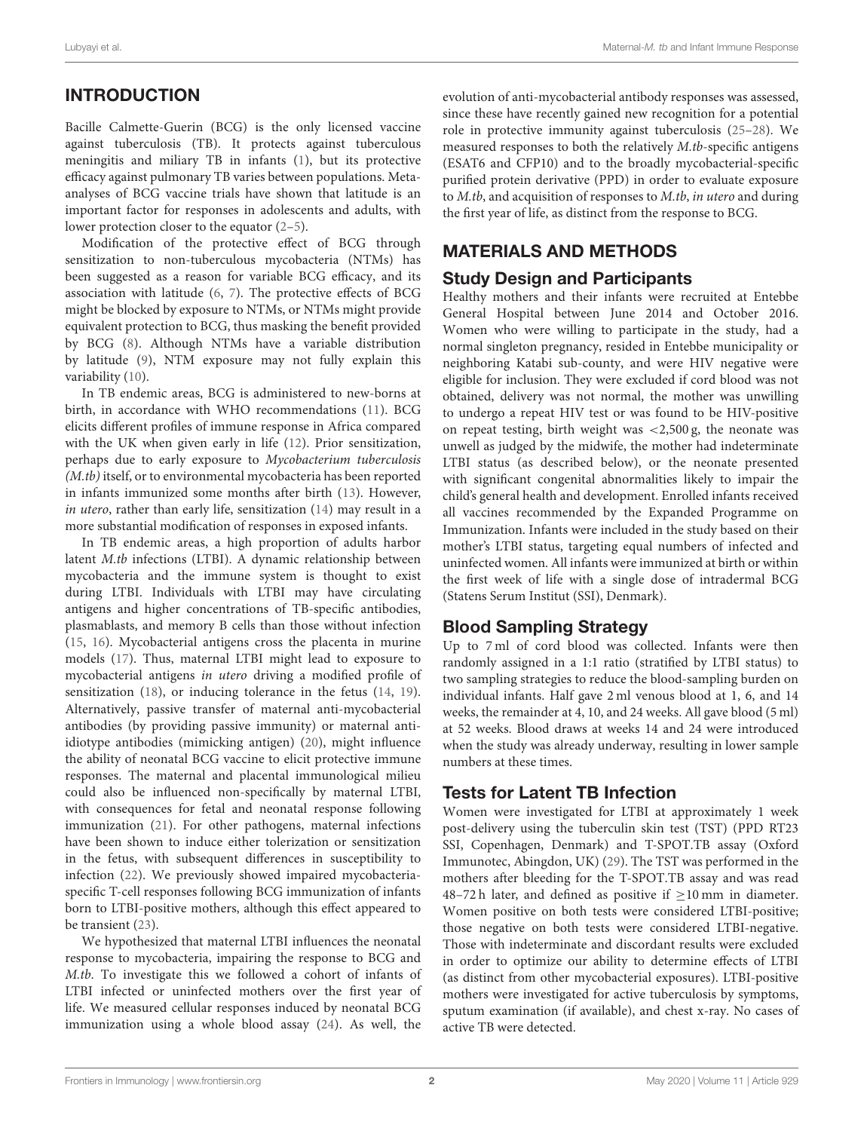## INTRODUCTION

Bacille Calmette-Guerin (BCG) is the only licensed vaccine against tuberculosis (TB). It protects against tuberculous meningitis and miliary TB in infants [\(1\)](#page-9-0), but its protective efficacy against pulmonary TB varies between populations. Metaanalyses of BCG vaccine trials have shown that latitude is an important factor for responses in adolescents and adults, with lower protection closer to the equator [\(2–](#page-9-1)[5\)](#page-9-2).

Modification of the protective effect of BCG through sensitization to non-tuberculous mycobacteria (NTMs) has been suggested as a reason for variable BCG efficacy, and its association with latitude [\(6,](#page-9-3) [7\)](#page-9-4). The protective effects of BCG might be blocked by exposure to NTMs, or NTMs might provide equivalent protection to BCG, thus masking the benefit provided by BCG [\(8\)](#page-9-5). Although NTMs have a variable distribution by latitude [\(9\)](#page-9-6), NTM exposure may not fully explain this variability [\(10\)](#page-9-7).

In TB endemic areas, BCG is administered to new-borns at birth, in accordance with WHO recommendations [\(11\)](#page-9-8). BCG elicits different profiles of immune response in Africa compared with the UK when given early in life [\(12\)](#page-9-9). Prior sensitization, perhaps due to early exposure to Mycobacterium tuberculosis (M.tb) itself, or to environmental mycobacteria has been reported in infants immunized some months after birth [\(13\)](#page-9-10). However, in utero, rather than early life, sensitization [\(14\)](#page-9-11) may result in a more substantial modification of responses in exposed infants.

In TB endemic areas, a high proportion of adults harbor latent M.tb infections (LTBI). A dynamic relationship between mycobacteria and the immune system is thought to exist during LTBI. Individuals with LTBI may have circulating antigens and higher concentrations of TB-specific antibodies, plasmablasts, and memory B cells than those without infection [\(15,](#page-9-12) [16\)](#page-9-13). Mycobacterial antigens cross the placenta in murine models [\(17\)](#page-9-14). Thus, maternal LTBI might lead to exposure to mycobacterial antigens in utero driving a modified profile of sensitization [\(18\)](#page-9-15), or inducing tolerance in the fetus [\(14,](#page-9-11) [19\)](#page-9-16). Alternatively, passive transfer of maternal anti-mycobacterial antibodies (by providing passive immunity) or maternal antiidiotype antibodies (mimicking antigen) [\(20\)](#page-9-17), might influence the ability of neonatal BCG vaccine to elicit protective immune responses. The maternal and placental immunological milieu could also be influenced non-specifically by maternal LTBI, with consequences for fetal and neonatal response following immunization [\(21\)](#page-9-18). For other pathogens, maternal infections have been shown to induce either tolerization or sensitization in the fetus, with subsequent differences in susceptibility to infection [\(22\)](#page-9-19). We previously showed impaired mycobacteriaspecific T-cell responses following BCG immunization of infants born to LTBI-positive mothers, although this effect appeared to be transient [\(23\)](#page-9-20).

We hypothesized that maternal LTBI influences the neonatal response to mycobacteria, impairing the response to BCG and M.tb. To investigate this we followed a cohort of infants of LTBI infected or uninfected mothers over the first year of life. We measured cellular responses induced by neonatal BCG immunization using a whole blood assay [\(24\)](#page-9-21). As well, the evolution of anti-mycobacterial antibody responses was assessed, since these have recently gained new recognition for a potential role in protective immunity against tuberculosis [\(25–](#page-9-22)[28\)](#page-9-23). We measured responses to both the relatively M.tb-specific antigens (ESAT6 and CFP10) and to the broadly mycobacterial-specific purified protein derivative (PPD) in order to evaluate exposure to M.tb, and acquisition of responses to M.tb, in utero and during the first year of life, as distinct from the response to BCG.

### MATERIALS AND METHODS

#### Study Design and Participants

Healthy mothers and their infants were recruited at Entebbe General Hospital between June 2014 and October 2016. Women who were willing to participate in the study, had a normal singleton pregnancy, resided in Entebbe municipality or neighboring Katabi sub-county, and were HIV negative were eligible for inclusion. They were excluded if cord blood was not obtained, delivery was not normal, the mother was unwilling to undergo a repeat HIV test or was found to be HIV-positive on repeat testing, birth weight was <2,500 g, the neonate was unwell as judged by the midwife, the mother had indeterminate LTBI status (as described below), or the neonate presented with significant congenital abnormalities likely to impair the child's general health and development. Enrolled infants received all vaccines recommended by the Expanded Programme on Immunization. Infants were included in the study based on their mother's LTBI status, targeting equal numbers of infected and uninfected women. All infants were immunized at birth or within the first week of life with a single dose of intradermal BCG (Statens Serum Institut (SSI), Denmark).

#### Blood Sampling Strategy

Up to 7 ml of cord blood was collected. Infants were then randomly assigned in a 1:1 ratio (stratified by LTBI status) to two sampling strategies to reduce the blood-sampling burden on individual infants. Half gave 2 ml venous blood at 1, 6, and 14 weeks, the remainder at 4, 10, and 24 weeks. All gave blood (5 ml) at 52 weeks. Blood draws at weeks 14 and 24 were introduced when the study was already underway, resulting in lower sample numbers at these times.

#### Tests for Latent TB Infection

Women were investigated for LTBI at approximately 1 week post-delivery using the tuberculin skin test (TST) (PPD RT23 SSI, Copenhagen, Denmark) and T-SPOT.TB assay (Oxford Immunotec, Abingdon, UK) [\(29\)](#page-9-24). The TST was performed in the mothers after bleeding for the T-SPOT.TB assay and was read 48–72 h later, and defined as positive if  $\geq$ 10 mm in diameter. Women positive on both tests were considered LTBI-positive; those negative on both tests were considered LTBI-negative. Those with indeterminate and discordant results were excluded in order to optimize our ability to determine effects of LTBI (as distinct from other mycobacterial exposures). LTBI-positive mothers were investigated for active tuberculosis by symptoms, sputum examination (if available), and chest x-ray. No cases of active TB were detected.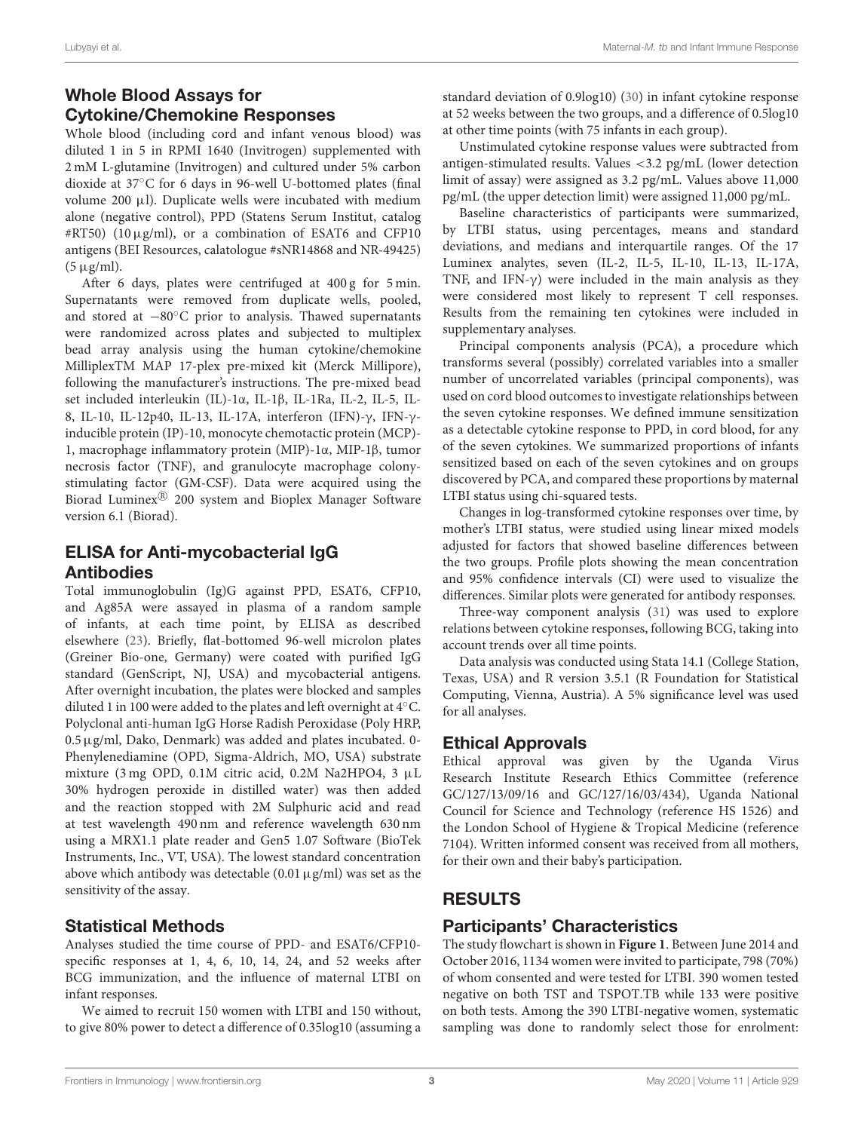### Whole Blood Assays for Cytokine/Chemokine Responses

Whole blood (including cord and infant venous blood) was diluted 1 in 5 in RPMI 1640 (Invitrogen) supplemented with 2 mM L-glutamine (Invitrogen) and cultured under 5% carbon dioxide at 37◦C for 6 days in 96-well U-bottomed plates (final volume 200  $\mu$ l). Duplicate wells were incubated with medium alone (negative control), PPD (Statens Serum Institut, catalog  $#RT50)$  (10  $\mu$ g/ml), or a combination of ESAT6 and CFP10 antigens (BEI Resources, calatologue #sNR14868 and NR-49425)  $(5 \mu g/ml)$ .

After 6 days, plates were centrifuged at 400 g for 5 min. Supernatants were removed from duplicate wells, pooled, and stored at −80◦C prior to analysis. Thawed supernatants were randomized across plates and subjected to multiplex bead array analysis using the human cytokine/chemokine MilliplexTM MAP 17-plex pre-mixed kit (Merck Millipore), following the manufacturer's instructions. The pre-mixed bead set included interleukin (IL)-1α, IL-1β, IL-1Ra, IL-2, IL-5, IL-8, IL-10, IL-12p40, IL-13, IL-17A, interferon (IFN)-γ, IFN-γinducible protein (IP)-10, monocyte chemotactic protein (MCP)- 1, macrophage inflammatory protein (MIP)-1α, MIP-1β, tumor necrosis factor (TNF), and granulocyte macrophage colonystimulating factor (GM-CSF). Data were acquired using the Biorad Luminex® 200 system and Bioplex Manager Software version 6.1 (Biorad).

#### ELISA for Anti-mycobacterial IgG Antibodies

Total immunoglobulin (Ig)G against PPD, ESAT6, CFP10, and Ag85A were assayed in plasma of a random sample of infants, at each time point, by ELISA as described elsewhere [\(23\)](#page-9-20). Briefly, flat-bottomed 96-well microlon plates (Greiner Bio-one, Germany) were coated with purified IgG standard (GenScript, NJ, USA) and mycobacterial antigens. After overnight incubation, the plates were blocked and samples diluted 1 in 100 were added to the plates and left overnight at 4◦C. Polyclonal anti-human IgG Horse Radish Peroxidase (Poly HRP, 0.5µg/ml, Dako, Denmark) was added and plates incubated. 0- Phenylenediamine (OPD, Sigma-Aldrich, MO, USA) substrate mixture (3 mg OPD, 0.1M citric acid, 0.2M Na2HPO4, 3 µL 30% hydrogen peroxide in distilled water) was then added and the reaction stopped with 2M Sulphuric acid and read at test wavelength 490 nm and reference wavelength 630 nm using a MRX1.1 plate reader and Gen5 1.07 Software (BioTek Instruments, Inc., VT, USA). The lowest standard concentration above which antibody was detectable  $(0.01 \,\mathrm{\upmu g/ml})$  was set as the sensitivity of the assay.

#### Statistical Methods

Analyses studied the time course of PPD- and ESAT6/CFP10 specific responses at 1, 4, 6, 10, 14, 24, and 52 weeks after BCG immunization, and the influence of maternal LTBI on infant responses.

We aimed to recruit 150 women with LTBI and 150 without, to give 80% power to detect a difference of 0.35log10 (assuming a standard deviation of 0.9log10) [\(30\)](#page-9-25) in infant cytokine response at 52 weeks between the two groups, and a difference of 0.5log10 at other time points (with 75 infants in each group).

Unstimulated cytokine response values were subtracted from antigen-stimulated results. Values <3.2 pg/mL (lower detection limit of assay) were assigned as 3.2 pg/mL. Values above 11,000 pg/mL (the upper detection limit) were assigned 11,000 pg/mL.

Baseline characteristics of participants were summarized, by LTBI status, using percentages, means and standard deviations, and medians and interquartile ranges. Of the 17 Luminex analytes, seven (IL-2, IL-5, IL-10, IL-13, IL-17A, TNF, and IFN- $\gamma$ ) were included in the main analysis as they were considered most likely to represent T cell responses. Results from the remaining ten cytokines were included in supplementary analyses.

Principal components analysis (PCA), a procedure which transforms several (possibly) correlated variables into a smaller number of uncorrelated variables (principal components), was used on cord blood outcomes to investigate relationships between the seven cytokine responses. We defined immune sensitization as a detectable cytokine response to PPD, in cord blood, for any of the seven cytokines. We summarized proportions of infants sensitized based on each of the seven cytokines and on groups discovered by PCA, and compared these proportions by maternal LTBI status using chi-squared tests.

Changes in log-transformed cytokine responses over time, by mother's LTBI status, were studied using linear mixed models adjusted for factors that showed baseline differences between the two groups. Profile plots showing the mean concentration and 95% confidence intervals (CI) were used to visualize the differences. Similar plots were generated for antibody responses.

Three-way component analysis [\(31\)](#page-9-26) was used to explore relations between cytokine responses, following BCG, taking into account trends over all time points.

Data analysis was conducted using Stata 14.1 (College Station, Texas, USA) and R version 3.5.1 (R Foundation for Statistical Computing, Vienna, Austria). A 5% significance level was used for all analyses.

#### Ethical Approvals

Ethical approval was given by the Uganda Virus Research Institute Research Ethics Committee (reference GC/127/13/09/16 and GC/127/16/03/434), Uganda National Council for Science and Technology (reference HS 1526) and the London School of Hygiene & Tropical Medicine (reference 7104). Written informed consent was received from all mothers, for their own and their baby's participation.

### RESULTS

#### Participants' Characteristics

The study flowchart is shown in **[Figure 1](#page-3-0)**. Between June 2014 and October 2016, 1134 women were invited to participate, 798 (70%) of whom consented and were tested for LTBI. 390 women tested negative on both TST and TSPOT.TB while 133 were positive on both tests. Among the 390 LTBI-negative women, systematic sampling was done to randomly select those for enrolment: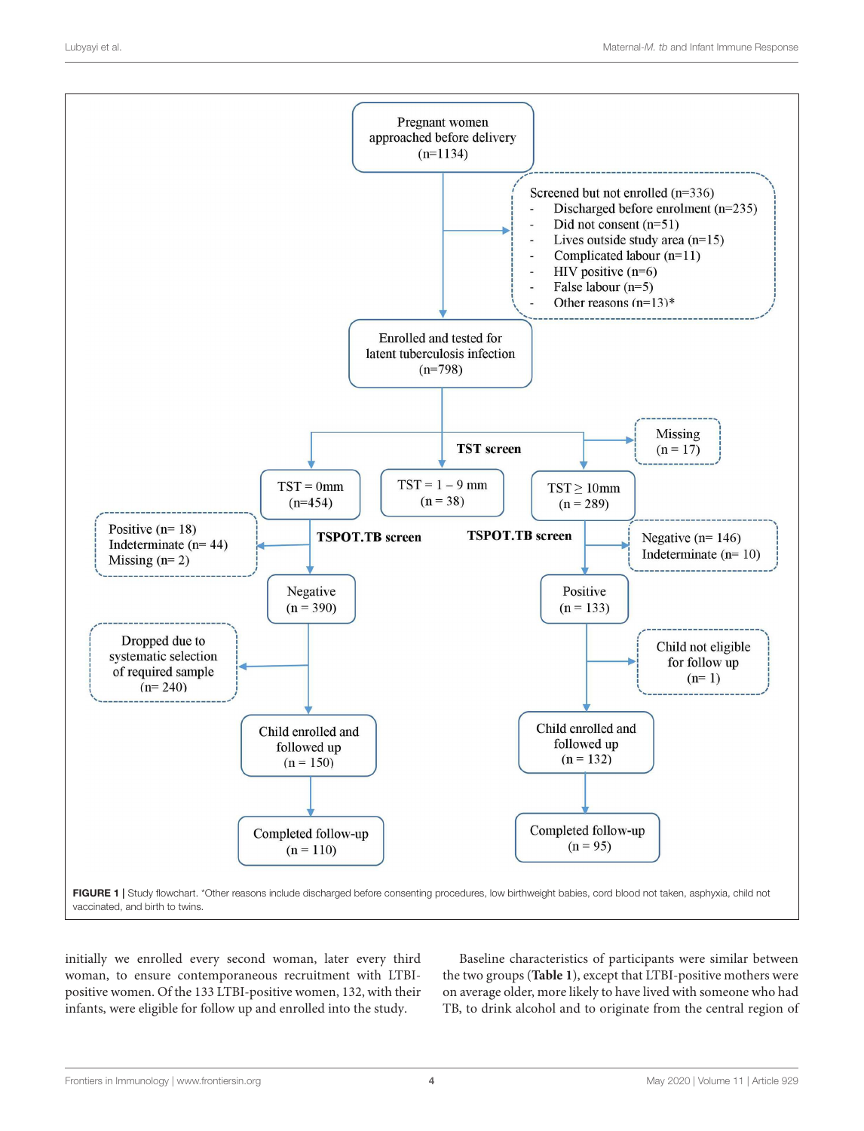

<span id="page-3-0"></span>initially we enrolled every second woman, later every third woman, to ensure contemporaneous recruitment with LTBIpositive women. Of the 133 LTBI-positive women, 132, with their infants, were eligible for follow up and enrolled into the study.

Baseline characteristics of participants were similar between the two groups (**[Table 1](#page-4-0)**), except that LTBI-positive mothers were on average older, more likely to have lived with someone who had TB, to drink alcohol and to originate from the central region of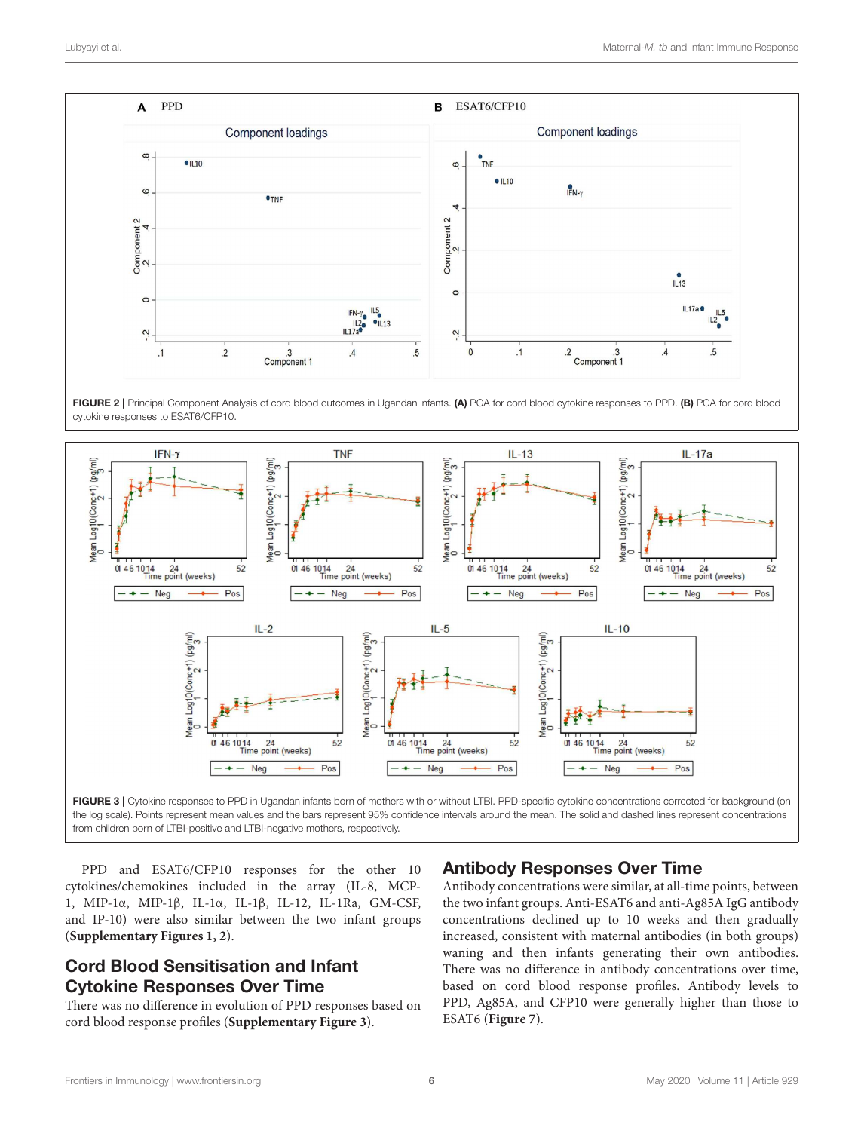

FIGURE 2 | Principal Component Analysis of cord blood outcomes in Ugandan infants. (A) PCA for cord blood cytokine responses to PPD. (B) PCA for cord blood cytokine responses to ESAT6/CFP10.



from children born of LTBI-positive and LTBI-negative mothers, respectively.

PPD and ESAT6/CFP10 responses for the other 10 cytokines/chemokines included in the array (IL-8, MCP-1, MIP-1α, MIP-1β, IL-1α, IL-1β, IL-12, IL-1Ra, GM-CSF, and IP-10) were also similar between the two infant groups (**[Supplementary Figures 1, 2](#page-8-0)**).

#### Cord Blood Sensitisation and Infant Cytokine Responses Over Time

There was no difference in evolution of PPD responses based on cord blood response profiles (**[Supplementary Figure 3](#page-8-0)**).

#### Antibody Responses Over Time

Antibody concentrations were similar, at all-time points, between the two infant groups. Anti-ESAT6 and anti-Ag85A IgG antibody concentrations declined up to 10 weeks and then gradually increased, consistent with maternal antibodies (in both groups) waning and then infants generating their own antibodies. There was no difference in antibody concentrations over time, based on cord blood response profiles. Antibody levels to PPD, Ag85A, and CFP10 were generally higher than those to ESAT6 (**[Figure 7](#page-7-0)**).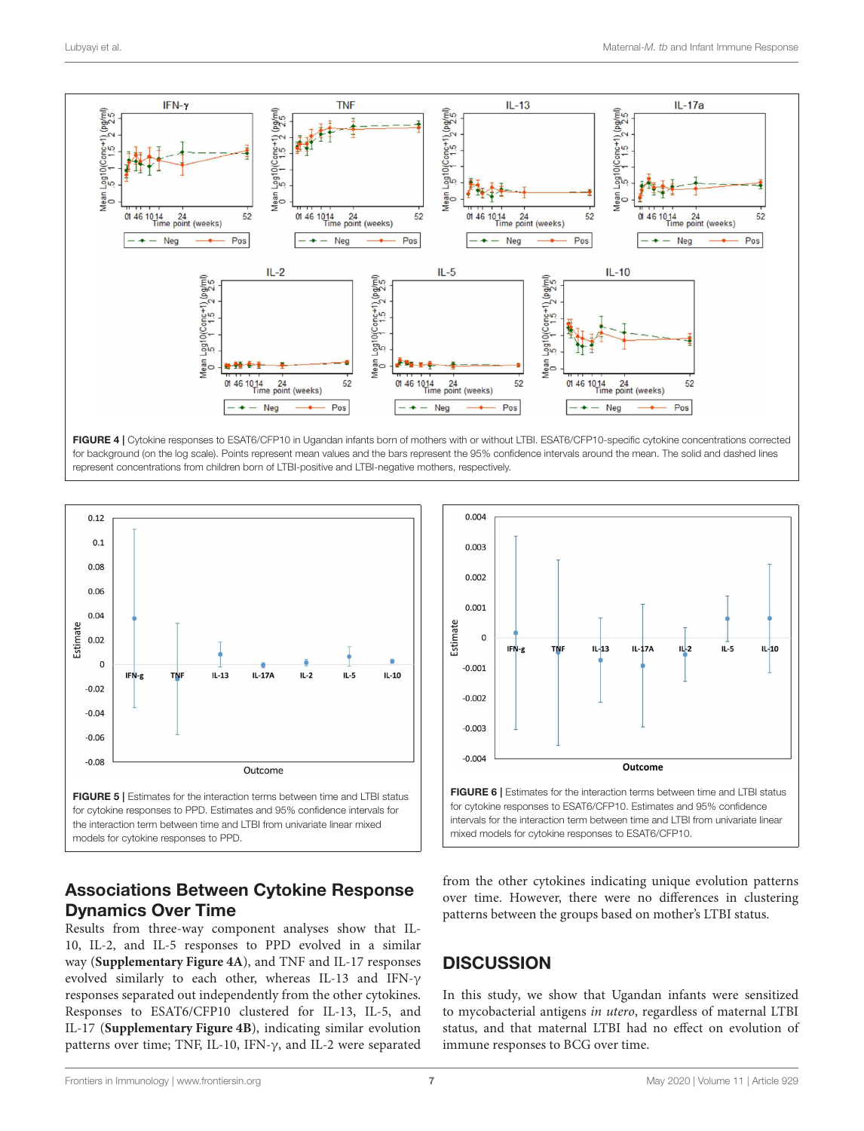

FIGURE 4 | Cytokine responses to ESAT6/CFP10 in Ugandan infants born of mothers with or without LTBI. ESAT6/CFP10-specific cytokine concentrations corrected for background (on the log scale). Points represent mean values and the bars represent the 95% confidence intervals around the mean. The solid and dashed lines represent concentrations from children born of LTBI-positive and LTBI-negative mothers, respectively.



#### Associations Between Cytokine Response Dynamics Over Time

Results from three-way component analyses show that IL-10, IL-2, and IL-5 responses to PPD evolved in a similar way (**[Supplementary Figure 4A](#page-8-0)**), and TNF and IL-17 responses evolved similarly to each other, whereas IL-13 and IFN-γ responses separated out independently from the other cytokines. Responses to ESAT6/CFP10 clustered for IL-13, IL-5, and IL-17 (**[Supplementary Figure 4B](#page-8-0)**), indicating similar evolution patterns over time; TNF, IL-10, IFN-γ, and IL-2 were separated



from the other cytokines indicating unique evolution patterns over time. However, there were no differences in clustering patterns between the groups based on mother's LTBI status.

### **DISCUSSION**

In this study, we show that Ugandan infants were sensitized to mycobacterial antigens in utero, regardless of maternal LTBI status, and that maternal LTBI had no effect on evolution of immune responses to BCG over time.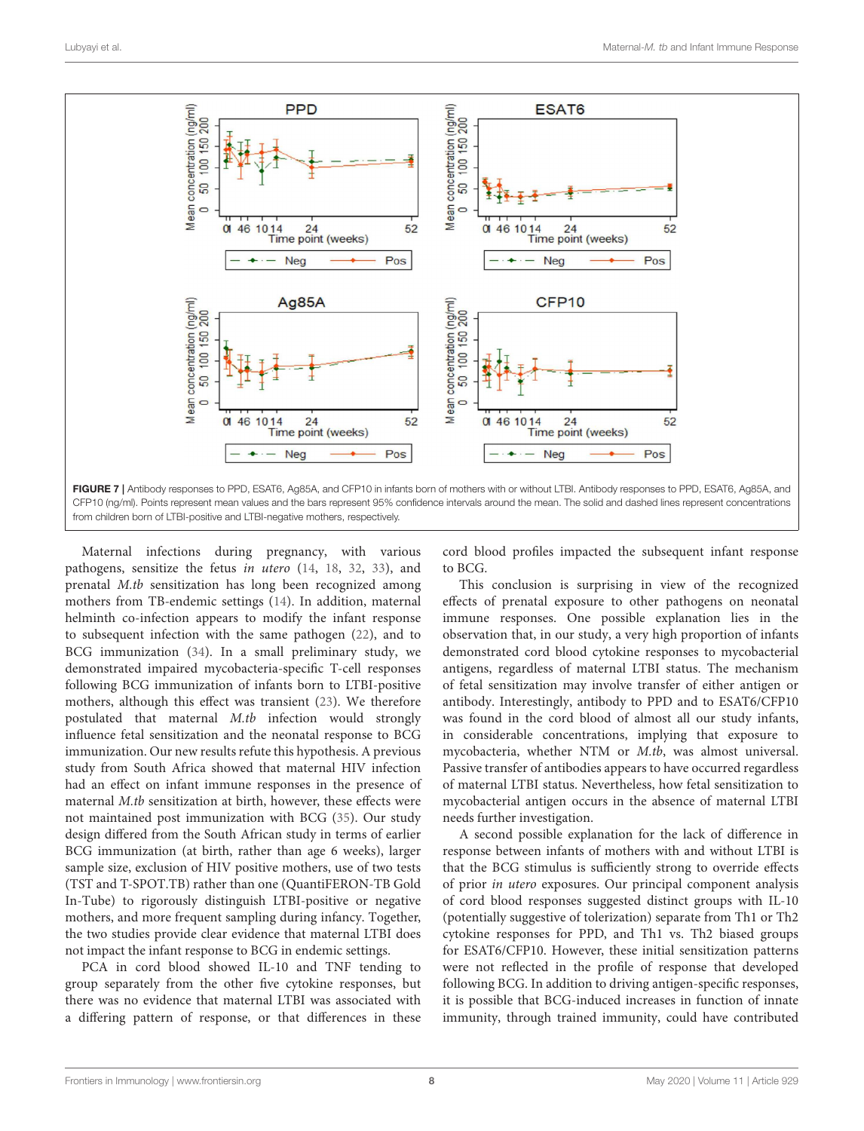

<span id="page-7-0"></span>Maternal infections during pregnancy, with various pathogens, sensitize the fetus in utero [\(14,](#page-9-11) [18,](#page-9-15) [32,](#page-9-27) [33\)](#page-9-28), and prenatal M.tb sensitization has long been recognized among mothers from TB-endemic settings [\(14\)](#page-9-11). In addition, maternal helminth co-infection appears to modify the infant response to subsequent infection with the same pathogen [\(22\)](#page-9-19), and to BCG immunization [\(34\)](#page-9-29). In a small preliminary study, we demonstrated impaired mycobacteria-specific T-cell responses following BCG immunization of infants born to LTBI-positive mothers, although this effect was transient [\(23\)](#page-9-20). We therefore postulated that maternal M.tb infection would strongly influence fetal sensitization and the neonatal response to BCG immunization. Our new results refute this hypothesis. A previous study from South Africa showed that maternal HIV infection had an effect on infant immune responses in the presence of maternal M.tb sensitization at birth, however, these effects were not maintained post immunization with BCG [\(35\)](#page-9-30). Our study design differed from the South African study in terms of earlier BCG immunization (at birth, rather than age 6 weeks), larger sample size, exclusion of HIV positive mothers, use of two tests (TST and T-SPOT.TB) rather than one (QuantiFERON-TB Gold In-Tube) to rigorously distinguish LTBI-positive or negative mothers, and more frequent sampling during infancy. Together, the two studies provide clear evidence that maternal LTBI does not impact the infant response to BCG in endemic settings.

PCA in cord blood showed IL-10 and TNF tending to group separately from the other five cytokine responses, but there was no evidence that maternal LTBI was associated with a differing pattern of response, or that differences in these cord blood profiles impacted the subsequent infant response to BCG.

This conclusion is surprising in view of the recognized effects of prenatal exposure to other pathogens on neonatal immune responses. One possible explanation lies in the observation that, in our study, a very high proportion of infants demonstrated cord blood cytokine responses to mycobacterial antigens, regardless of maternal LTBI status. The mechanism of fetal sensitization may involve transfer of either antigen or antibody. Interestingly, antibody to PPD and to ESAT6/CFP10 was found in the cord blood of almost all our study infants, in considerable concentrations, implying that exposure to mycobacteria, whether NTM or M.tb, was almost universal. Passive transfer of antibodies appears to have occurred regardless of maternal LTBI status. Nevertheless, how fetal sensitization to mycobacterial antigen occurs in the absence of maternal LTBI needs further investigation.

A second possible explanation for the lack of difference in response between infants of mothers with and without LTBI is that the BCG stimulus is sufficiently strong to override effects of prior in utero exposures. Our principal component analysis of cord blood responses suggested distinct groups with IL-10 (potentially suggestive of tolerization) separate from Th1 or Th2 cytokine responses for PPD, and Th1 vs. Th2 biased groups for ESAT6/CFP10. However, these initial sensitization patterns were not reflected in the profile of response that developed following BCG. In addition to driving antigen-specific responses, it is possible that BCG-induced increases in function of innate immunity, through trained immunity, could have contributed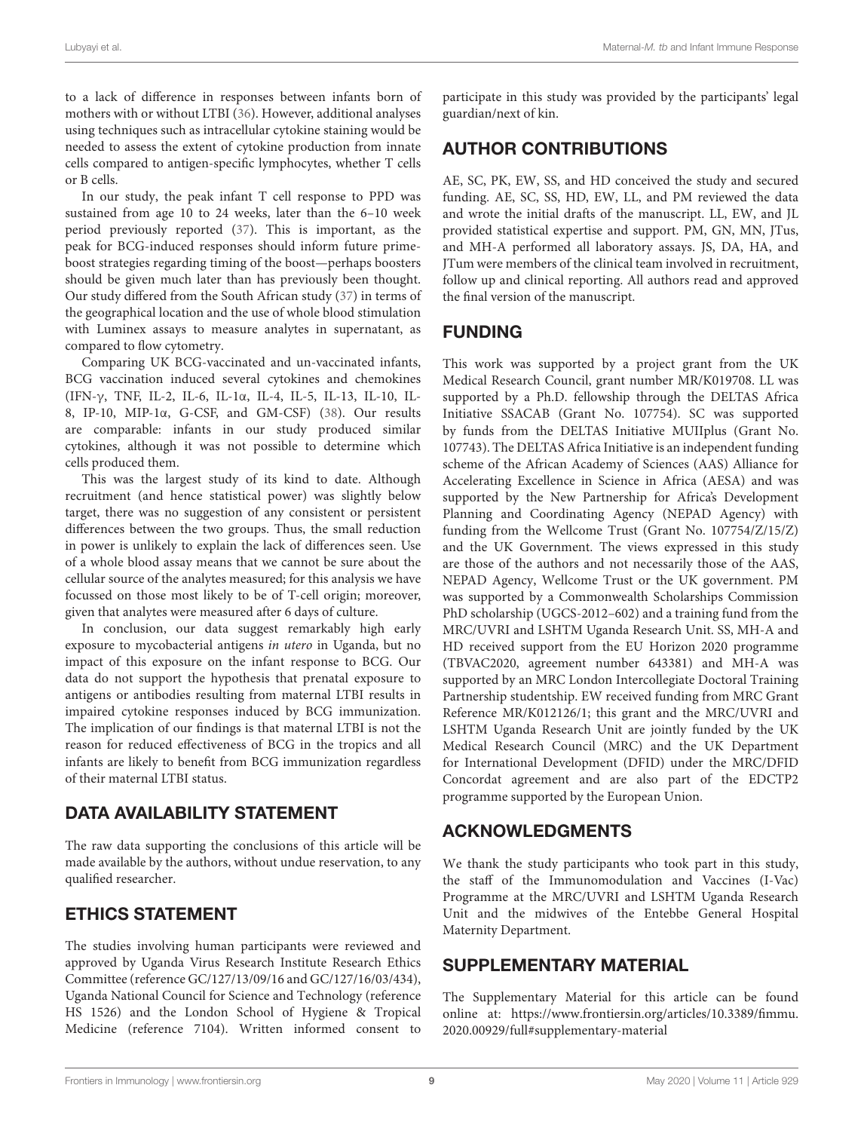to a lack of difference in responses between infants born of mothers with or without LTBI [\(36\)](#page-10-0). However, additional analyses using techniques such as intracellular cytokine staining would be needed to assess the extent of cytokine production from innate cells compared to antigen-specific lymphocytes, whether T cells or B cells.

In our study, the peak infant T cell response to PPD was sustained from age 10 to 24 weeks, later than the 6–10 week period previously reported [\(37\)](#page-10-1). This is important, as the peak for BCG-induced responses should inform future primeboost strategies regarding timing of the boost—perhaps boosters should be given much later than has previously been thought. Our study differed from the South African study [\(37\)](#page-10-1) in terms of the geographical location and the use of whole blood stimulation with Luminex assays to measure analytes in supernatant, as compared to flow cytometry.

Comparing UK BCG-vaccinated and un-vaccinated infants, BCG vaccination induced several cytokines and chemokines (IFN-γ, TNF, IL-2, IL-6, IL-1α, IL-4, IL-5, IL-13, IL-10, IL-8, IP-10, MIP-1α, G-CSF, and GM-CSF) [\(38\)](#page-10-2). Our results are comparable: infants in our study produced similar cytokines, although it was not possible to determine which cells produced them.

This was the largest study of its kind to date. Although recruitment (and hence statistical power) was slightly below target, there was no suggestion of any consistent or persistent differences between the two groups. Thus, the small reduction in power is unlikely to explain the lack of differences seen. Use of a whole blood assay means that we cannot be sure about the cellular source of the analytes measured; for this analysis we have focussed on those most likely to be of T-cell origin; moreover, given that analytes were measured after 6 days of culture.

In conclusion, our data suggest remarkably high early exposure to mycobacterial antigens in utero in Uganda, but no impact of this exposure on the infant response to BCG. Our data do not support the hypothesis that prenatal exposure to antigens or antibodies resulting from maternal LTBI results in impaired cytokine responses induced by BCG immunization. The implication of our findings is that maternal LTBI is not the reason for reduced effectiveness of BCG in the tropics and all infants are likely to benefit from BCG immunization regardless of their maternal LTBI status.

#### DATA AVAILABILITY STATEMENT

The raw data supporting the conclusions of this article will be made available by the authors, without undue reservation, to any qualified researcher.

#### ETHICS STATEMENT

The studies involving human participants were reviewed and approved by Uganda Virus Research Institute Research Ethics Committee (reference GC/127/13/09/16 and GC/127/16/03/434), Uganda National Council for Science and Technology (reference HS 1526) and the London School of Hygiene & Tropical Medicine (reference 7104). Written informed consent to participate in this study was provided by the participants' legal guardian/next of kin.

#### AUTHOR CONTRIBUTIONS

AE, SC, PK, EW, SS, and HD conceived the study and secured funding. AE, SC, SS, HD, EW, LL, and PM reviewed the data and wrote the initial drafts of the manuscript. LL, EW, and JL provided statistical expertise and support. PM, GN, MN, JTus, and MH-A performed all laboratory assays. JS, DA, HA, and JTum were members of the clinical team involved in recruitment, follow up and clinical reporting. All authors read and approved the final version of the manuscript.

#### FUNDING

This work was supported by a project grant from the UK Medical Research Council, grant number MR/K019708. LL was supported by a Ph.D. fellowship through the DELTAS Africa Initiative SSACAB (Grant No. 107754). SC was supported by funds from the DELTAS Initiative MUIIplus (Grant No. 107743). The DELTAS Africa Initiative is an independent funding scheme of the African Academy of Sciences (AAS) Alliance for Accelerating Excellence in Science in Africa (AESA) and was supported by the New Partnership for Africa's Development Planning and Coordinating Agency (NEPAD Agency) with funding from the Wellcome Trust (Grant No. 107754/Z/15/Z) and the UK Government. The views expressed in this study are those of the authors and not necessarily those of the AAS, NEPAD Agency, Wellcome Trust or the UK government. PM was supported by a Commonwealth Scholarships Commission PhD scholarship (UGCS-2012–602) and a training fund from the MRC/UVRI and LSHTM Uganda Research Unit. SS, MH-A and HD received support from the EU Horizon 2020 programme (TBVAC2020, agreement number 643381) and MH-A was supported by an MRC London Intercollegiate Doctoral Training Partnership studentship. EW received funding from MRC Grant Reference MR/K012126/1; this grant and the MRC/UVRI and LSHTM Uganda Research Unit are jointly funded by the UK Medical Research Council (MRC) and the UK Department for International Development (DFID) under the MRC/DFID Concordat agreement and are also part of the EDCTP2 programme supported by the European Union.

#### ACKNOWLEDGMENTS

We thank the study participants who took part in this study, the staff of the Immunomodulation and Vaccines (I-Vac) Programme at the MRC/UVRI and LSHTM Uganda Research Unit and the midwives of the Entebbe General Hospital Maternity Department.

#### SUPPLEMENTARY MATERIAL

<span id="page-8-0"></span>The Supplementary Material for this article can be found [online at: https://www.frontiersin.org/articles/10.3389/fimmu.](https://www.frontiersin.org/articles/10.3389/fimmu.2020.00929/full#supplementary-material) 2020.00929/full#supplementary-material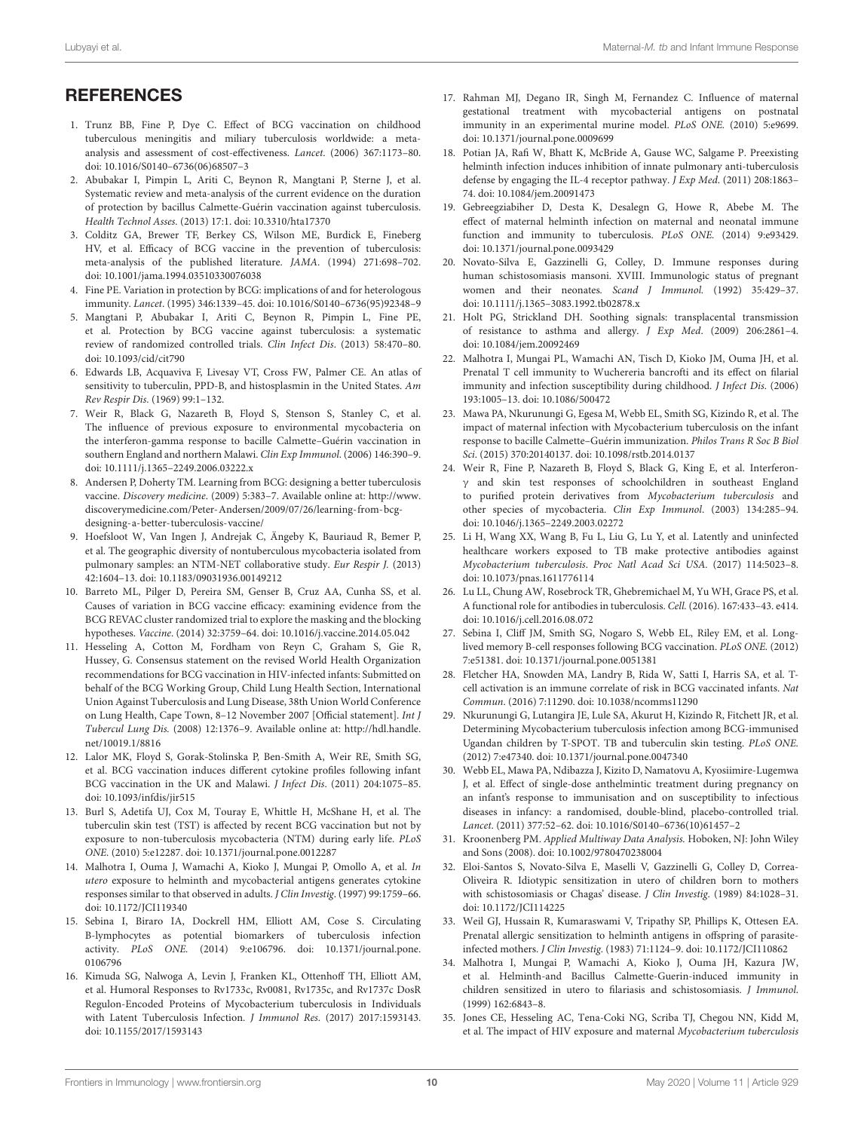# **REFERENCES**

- <span id="page-9-0"></span>1. Trunz BB, Fine P, Dye C. Effect of BCG vaccination on childhood tuberculous meningitis and miliary tuberculosis worldwide: a metaanalysis and assessment of cost-effectiveness. Lancet. (2006) 367:1173–80. doi: [10.1016/S0140–6736\(06\)68507–3](https://doi.org/10.1016/S0140--6736(06)68507--3)
- <span id="page-9-1"></span>2. Abubakar I, Pimpin L, Ariti C, Beynon R, Mangtani P, Sterne J, et al. Systematic review and meta-analysis of the current evidence on the duration of protection by bacillus Calmette-Guérin vaccination against tuberculosis. Health Technol Asses. (2013) 17:1. doi: [10.3310/hta17370](https://doi.org/10.3310/hta17370)
- 3. Colditz GA, Brewer TF, Berkey CS, Wilson ME, Burdick E, Fineberg HV, et al. Efficacy of BCG vaccine in the prevention of tuberculosis: meta-analysis of the published literature. JAMA. (1994) 271:698–702. doi: [10.1001/jama.1994.03510330076038](https://doi.org/10.1001/jama.1994.03510330076038)
- 4. Fine PE. Variation in protection by BCG: implications of and for heterologous immunity. Lancet. (1995) 346:1339–45. doi: [10.1016/S0140–6736\(95\)92348–9](https://doi.org/10.1016/S0140--6736(95)92348--9)
- <span id="page-9-2"></span>5. Mangtani P, Abubakar I, Ariti C, Beynon R, Pimpin L, Fine PE, et al. Protection by BCG vaccine against tuberculosis: a systematic review of randomized controlled trials. Clin Infect Dis. (2013) 58:470–80. doi: [10.1093/cid/cit790](https://doi.org/10.1093/cid/cit790)
- <span id="page-9-3"></span>6. Edwards LB, Acquaviva F, Livesay VT, Cross FW, Palmer CE. An atlas of sensitivity to tuberculin, PPD-B, and histosplasmin in the United States. Am Rev Respir Dis. (1969) 99:1–132.
- <span id="page-9-4"></span>7. Weir R, Black G, Nazareth B, Floyd S, Stenson S, Stanley C, et al. The influence of previous exposure to environmental mycobacteria on the interferon-gamma response to bacille Calmette–Guérin vaccination in southern England and northern Malawi. Clin Exp Immunol. (2006) 146:390–9. doi: [10.1111/j.1365–2249.2006.03222.x](https://doi.org/10.1111/j.1365--2249.2006.03222.x)
- <span id="page-9-5"></span>8. Andersen P, Doherty TM. Learning from BCG: designing a better tuberculosis vaccine. Discovery medicine. (2009) 5:383–7. Available online at: [http://www.](http://www.discoverymedicine.com/Peter-Andersen/2009/07/26/learning-from-bcg-designing-a-better-tuberculosis-vaccine/) [discoverymedicine.com/Peter-Andersen/2009/07/26/learning-from-bcg](http://www.discoverymedicine.com/Peter-Andersen/2009/07/26/learning-from-bcg-designing-a-better-tuberculosis-vaccine/)[designing-a-better-tuberculosis-vaccine/](http://www.discoverymedicine.com/Peter-Andersen/2009/07/26/learning-from-bcg-designing-a-better-tuberculosis-vaccine/)
- <span id="page-9-6"></span>9. Hoefsloot W, Van Ingen J, Andrejak C, Ängeby K, Bauriaud R, Bemer P, et al. The geographic diversity of nontuberculous mycobacteria isolated from pulmonary samples: an NTM-NET collaborative study. Eur Respir J. (2013) 42:1604–13. doi: [10.1183/09031936.00149212](https://doi.org/10.1183/09031936.00149212)
- <span id="page-9-7"></span>10. Barreto ML, Pilger D, Pereira SM, Genser B, Cruz AA, Cunha SS, et al. Causes of variation in BCG vaccine efficacy: examining evidence from the BCG REVAC cluster randomized trial to explore the masking and the blocking hypotheses. Vaccine. (2014) 32:3759–64. doi: [10.1016/j.vaccine.2014.05.042](https://doi.org/10.1016/j.vaccine.2014.05.042)
- <span id="page-9-8"></span>11. Hesseling A, Cotton M, Fordham von Reyn C, Graham S, Gie R, Hussey, G. Consensus statement on the revised World Health Organization recommendations for BCG vaccination in HIV-infected infants: Submitted on behalf of the BCG Working Group, Child Lung Health Section, International Union Against Tuberculosis and Lung Disease, 38th Union World Conference on Lung Health, Cape Town, 8–12 November 2007 [Official statement]. Int J Tubercul Lung Dis. (2008) 12:1376–9. Available online at: [http://hdl.handle.](http://hdl.handle.net/10019.1/8816) [net/10019.1/8816](http://hdl.handle.net/10019.1/8816)
- <span id="page-9-9"></span>12. Lalor MK, Floyd S, Gorak-Stolinska P, Ben-Smith A, Weir RE, Smith SG, et al. BCG vaccination induces different cytokine profiles following infant BCG vaccination in the UK and Malawi. J Infect Dis. (2011) 204:1075–85. doi: [10.1093/infdis/jir515](https://doi.org/10.1093/infdis/jir515)
- <span id="page-9-10"></span>13. Burl S, Adetifa UJ, Cox M, Touray E, Whittle H, McShane H, et al. The tuberculin skin test (TST) is affected by recent BCG vaccination but not by exposure to non-tuberculosis mycobacteria (NTM) during early life. PLoS ONE. (2010) 5:e12287. doi: [10.1371/journal.pone.0012287](https://doi.org/10.1371/journal.pone.0012287)
- <span id="page-9-11"></span>14. Malhotra I, Ouma J, Wamachi A, Kioko J, Mungai P, Omollo A, et al. In utero exposure to helminth and mycobacterial antigens generates cytokine responses similar to that observed in adults. J Clin Investig. (1997) 99:1759–66. doi: [10.1172/JCI119340](https://doi.org/10.1172/JCI119340)
- <span id="page-9-12"></span>15. Sebina I, Biraro IA, Dockrell HM, Elliott AM, Cose S. Circulating B-lymphocytes as potential biomarkers of tuberculosis infection activity. PLoS ONE. [\(2014\) 9:e106796. doi: 10.1371/journal.pone.](https://doi.org/10.1371/journal.pone.0106796) 0106796
- <span id="page-9-13"></span>16. Kimuda SG, Nalwoga A, Levin J, Franken KL, Ottenhoff TH, Elliott AM, et al. Humoral Responses to Rv1733c, Rv0081, Rv1735c, and Rv1737c DosR Regulon-Encoded Proteins of Mycobacterium tuberculosis in Individuals with Latent Tuberculosis Infection. J Immunol Res. (2017) 2017:1593143. doi: [10.1155/2017/1593143](https://doi.org/10.1155/2017/1593143)
- <span id="page-9-14"></span>17. Rahman MJ, Degano IR, Singh M, Fernandez C. Influence of maternal gestational treatment with mycobacterial antigens on postnatal immunity in an experimental murine model. PLoS ONE. (2010) 5:e9699. doi: [10.1371/journal.pone.0009699](https://doi.org/10.1371/journal.pone.0009699)
- <span id="page-9-15"></span>18. Potian JA, Rafi W, Bhatt K, McBride A, Gause WC, Salgame P. Preexisting helminth infection induces inhibition of innate pulmonary anti-tuberculosis defense by engaging the IL-4 receptor pathway. J Exp Med. (2011) 208:1863– 74. doi: [10.1084/jem.20091473](https://doi.org/10.1084/jem.20091473)
- <span id="page-9-16"></span>19. Gebreegziabiher D, Desta K, Desalegn G, Howe R, Abebe M. The effect of maternal helminth infection on maternal and neonatal immune function and immunity to tuberculosis. PLoS ONE. (2014) 9:e93429. doi: [10.1371/journal.pone.0093429](https://doi.org/10.1371/journal.pone.0093429)
- <span id="page-9-17"></span>20. Novato-Silva E, Gazzinelli G, Colley, D. Immune responses during human schistosomiasis mansoni. XVIII. Immunologic status of pregnant women and their neonates. Scand J Immunol. (1992) 35:429-37. doi: [10.1111/j.1365–3083.1992.tb02878.x](https://doi.org/10.1111/j.1365--3083.1992.tb02878.x)
- <span id="page-9-18"></span>21. Holt PG, Strickland DH. Soothing signals: transplacental transmission of resistance to asthma and allergy. J Exp Med. (2009) 206:2861–4. doi: [10.1084/jem.20092469](https://doi.org/10.1084/jem.20092469)
- <span id="page-9-19"></span>22. Malhotra I, Mungai PL, Wamachi AN, Tisch D, Kioko JM, Ouma JH, et al. Prenatal T cell immunity to Wuchereria bancrofti and its effect on filarial immunity and infection susceptibility during childhood. J Infect Dis. (2006) 193:1005–13. doi: [10.1086/500472](https://doi.org/10.1086/500472)
- <span id="page-9-20"></span>23. Mawa PA, Nkurunungi G, Egesa M, Webb EL, Smith SG, Kizindo R, et al. The impact of maternal infection with Mycobacterium tuberculosis on the infant response to bacille Calmette–Guérin immunization. Philos Trans R Soc B Biol Sci. (2015) 370:20140137. doi: [10.1098/rstb.2014.0137](https://doi.org/10.1098/rstb.2014.0137)
- <span id="page-9-21"></span>24. Weir R, Fine P, Nazareth B, Floyd S, Black G, King E, et al. Interferonγ and skin test responses of schoolchildren in southeast England to purified protein derivatives from Mycobacterium tuberculosis and other species of mycobacteria. Clin Exp Immunol. (2003) 134:285–94. doi: [10.1046/j.1365–2249.2003.02272](https://doi.org/10.1046/j.1365--2249.2003.02272)
- <span id="page-9-22"></span>25. Li H, Wang XX, Wang B, Fu L, Liu G, Lu Y, et al. Latently and uninfected healthcare workers exposed to TB make protective antibodies against Mycobacterium tuberculosis. Proc Natl Acad Sci USA. (2017) 114:5023–8. doi: [10.1073/pnas.1611776114](https://doi.org/10.1073/pnas.1611776114)
- 26. Lu LL, Chung AW, Rosebrock TR, Ghebremichael M, Yu WH, Grace PS, et al. A functional role for antibodies in tuberculosis. Cell. (2016). 167:433–43. e414. doi: [10.1016/j.cell.2016.08.072](https://doi.org/10.1016/j.cell.2016.08.072)
- 27. Sebina I, Cliff JM, Smith SG, Nogaro S, Webb EL, Riley EM, et al. Longlived memory B-cell responses following BCG vaccination. PLoS ONE. (2012) 7:e51381. doi: [10.1371/journal.pone.0051381](https://doi.org/10.1371/journal.pone.0051381)
- <span id="page-9-23"></span>28. Fletcher HA, Snowden MA, Landry B, Rida W, Satti I, Harris SA, et al. Tcell activation is an immune correlate of risk in BCG vaccinated infants. Nat Commun. (2016) 7:11290. doi: [10.1038/ncomms11290](https://doi.org/10.1038/ncomms11290)
- <span id="page-9-24"></span>29. Nkurunungi G, Lutangira JE, Lule SA, Akurut H, Kizindo R, Fitchett JR, et al. Determining Mycobacterium tuberculosis infection among BCG-immunised Ugandan children by T-SPOT. TB and tuberculin skin testing. PLoS ONE. (2012) 7:e47340. doi: [10.1371/journal.pone.0047340](https://doi.org/10.1371/journal.pone.0047340)
- <span id="page-9-25"></span>30. Webb EL, Mawa PA, Ndibazza J, Kizito D, Namatovu A, Kyosiimire-Lugemwa J, et al. Effect of single-dose anthelmintic treatment during pregnancy on an infant's response to immunisation and on susceptibility to infectious diseases in infancy: a randomised, double-blind, placebo-controlled trial. Lancet. (2011) 377:52–62. doi: [10.1016/S0140–6736\(10\)61457–2](https://doi.org/10.1016/S0140--6736(10)61457--2)
- <span id="page-9-26"></span>31. Kroonenberg PM. Applied Multiway Data Analysis. Hoboken, NJ: John Wiley and Sons (2008). doi: [10.1002/9780470238004](https://doi.org/10.1002/9780470238004)
- <span id="page-9-27"></span>32. Eloi-Santos S, Novato-Silva E, Maselli V, Gazzinelli G, Colley D, Correa-Oliveira R. Idiotypic sensitization in utero of children born to mothers with schistosomiasis or Chagas' disease. J Clin Investig. (1989) 84:1028–31. doi: [10.1172/JCI114225](https://doi.org/10.1172/JCI114225)
- <span id="page-9-28"></span>33. Weil GJ, Hussain R, Kumaraswami V, Tripathy SP, Phillips K, Ottesen EA. Prenatal allergic sensitization to helminth antigens in offspring of parasiteinfected mothers. J Clin Investig. (1983) 71:1124–9. doi: [10.1172/JCI110862](https://doi.org/10.1172/JCI110862)
- <span id="page-9-29"></span>34. Malhotra I, Mungai P, Wamachi A, Kioko J, Ouma JH, Kazura JW, et al. Helminth-and Bacillus Calmette-Guerin-induced immunity in children sensitized in utero to filariasis and schistosomiasis. J Immunol. (1999) 162:6843–8.
- <span id="page-9-30"></span>35. Jones CE, Hesseling AC, Tena-Coki NG, Scriba TJ, Chegou NN, Kidd M, et al. The impact of HIV exposure and maternal Mycobacterium tuberculosis